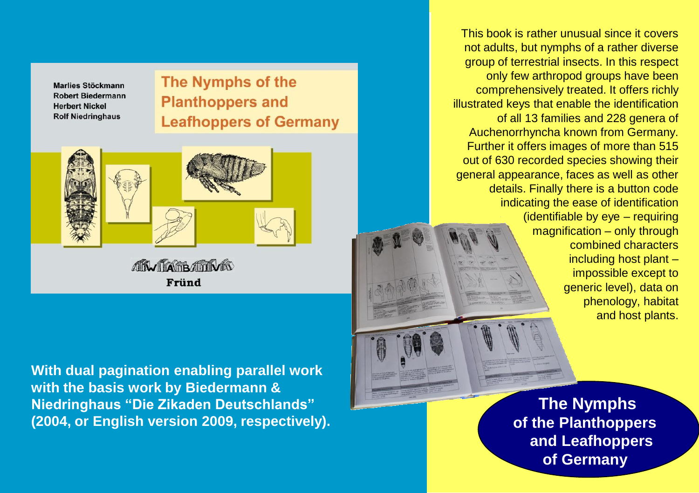Marlies Stöckmann **Robert Biedermann Herbert Nickel Rolf Niedringhaus** 

## **The Nymphs of the Planthoppers and Leafhoppers of Germany**



**AN TARBATIVIS** Fründ

**With dual pagination enabling parallel work with the basis work by Biedermann & Niedringhaus "Die Zikaden Deutschlands" (2004, or English version 2009, respectively).**

This book is rather unusual since it covers not adults, but nymphs of a rather diverse group of terrestrial insects. In this respect only few arthropod groups have been comprehensively treated. It offers richly illustrated keys that enable the identification of all 13 families and 228 genera of Auchenorrhyncha known from Germany. Further it offers images of more than 515 out of 630 recorded species showing their general appearance, faces as well as other details. Finally there is a button code indicating the ease of identification (identifiable by eye – requiring magnification – only through combined characters including host plant – impossible except to generic level), data on phenology, habitat and host plants.

> **The Nymphs of the Planthoppers and Leafhoppers of Germany**